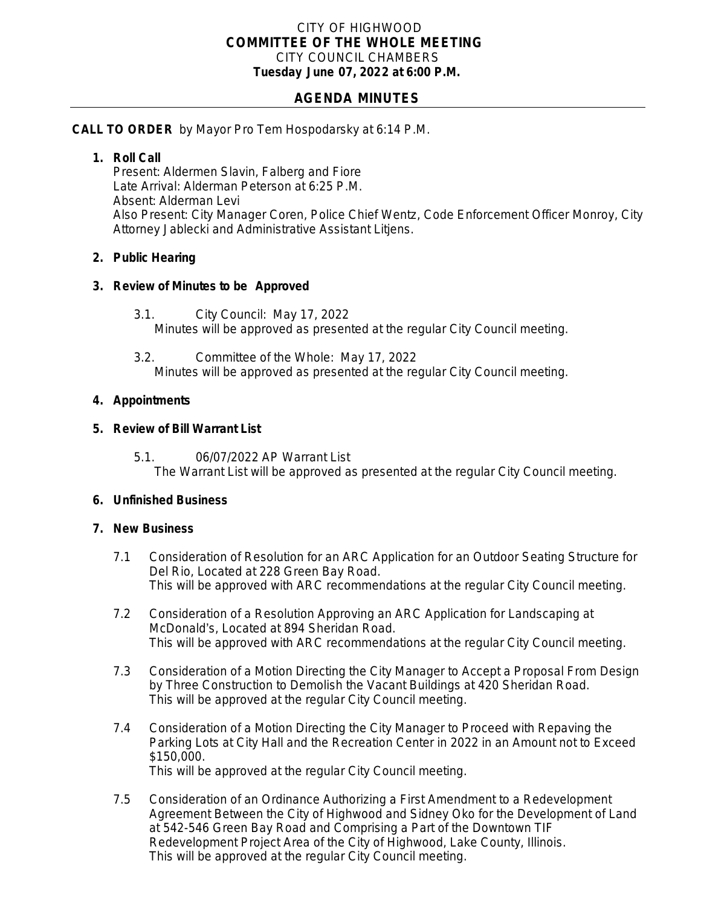### CITY OF HIGHWOOD *COMMITTEE OF THE WHOLE MEETING* CITY COUNCIL CHAMBERS **Tuesday June 07, 2022 at 6:00 P.M.**

# **AGENDA MINUTES**

#### **CALL TO ORDER** by Mayor Pro Tem Hospodarsky at 6:14 P.M.

#### **1. Roll Call**

Present: Aldermen Slavin, Falberg and Fiore Late Arrival: Alderman Peterson at 6:25 P.M. Absent: Alderman Levi Also Present: City Manager Coren, Police Chief Wentz, Code Enforcement Officer Monroy, City Attorney Jablecki and Administrative Assistant Litjens.

### **2. Public Hearing**

### **3. Review of Minutes to be Approved**

- 3.1. City Council: May 17, 2022 Minutes will be approved as presented at the regular City Council meeting.
- 3.2. Committee of the Whole: May 17, 2022 Minutes will be approved as presented at the regular City Council meeting.

### **4. Appointments**

### **5. Review of Bill Warrant List**

5.1. 06/07/2022 AP Warrant List The Warrant List will be approved as presented at the regular City Council meeting.

## **6. Unfinished Business**

## **7. New Business**

- 7.1 Consideration of Resolution for an ARC Application for an Outdoor Seating Structure for Del Rio, Located at 228 Green Bay Road. This will be approved with ARC recommendations at the regular City Council meeting.
- 7.2 Consideration of a Resolution Approving an ARC Application for Landscaping at McDonald's, Located at 894 Sheridan Road. This will be approved with ARC recommendations at the regular City Council meeting.
- 7.3 Consideration of a Motion Directing the City Manager to Accept a Proposal From Design by Three Construction to Demolish the Vacant Buildings at 420 Sheridan Road. This will be approved at the regular City Council meeting.
- 7.4 Consideration of a Motion Directing the City Manager to Proceed with Repaving the Parking Lots at City Hall and the Recreation Center in 2022 in an Amount not to Exceed \$150,000. This will be approved at the regular City Council meeting.
- 7.5 Consideration of an Ordinance Authorizing a First Amendment to a Redevelopment Agreement Between the City of Highwood and Sidney Oko for the Development of Land at 542-546 Green Bay Road and Comprising a Part of the Downtown TIF Redevelopment Project Area of the City of Highwood, Lake County, Illinois. This will be approved at the regular City Council meeting.